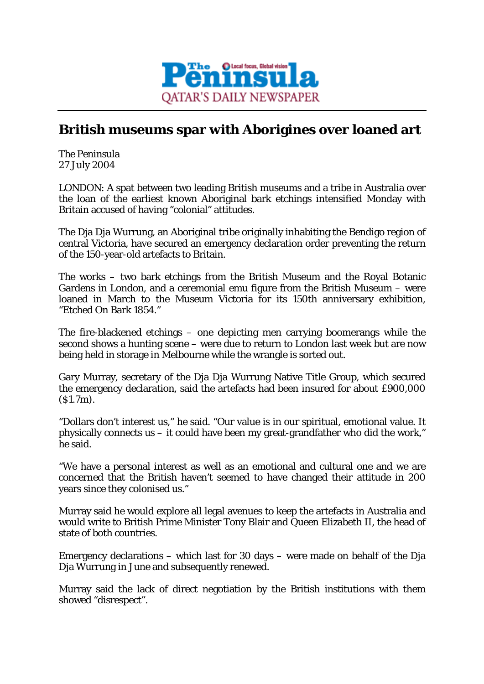

## **British museums spar with Aborigines over loaned art**

*The Peninsula* 27 July 2004

LONDON: A spat between two leading British museums and a tribe in Australia over the loan of the earliest known Aboriginal bark etchings intensified Monday with Britain accused of having "colonial" attitudes.

The Dja Dja Wurrung, an Aboriginal tribe originally inhabiting the Bendigo region of central Victoria, have secured an emergency declaration order preventing the return of the 150-year-old artefacts to Britain.

The works – two bark etchings from the British Museum and the Royal Botanic Gardens in London, and a ceremonial emu figure from the British Museum – were loaned in March to the Museum Victoria for its 150th anniversary exhibition, "Etched On Bark 1854."

The fire-blackened etchings – one depicting men carrying boomerangs while the second shows a hunting scene – were due to return to London last week but are now being held in storage in Melbourne while the wrangle is sorted out.

Gary Murray, secretary of the Dja Dja Wurrung Native Title Group, which secured the emergency declaration, said the artefacts had been insured for about £900,000 (\$1.7m).

"Dollars don't interest us," he said. "Our value is in our spiritual, emotional value. It physically connects us – it could have been my great-grandfather who did the work," he said.

"We have a personal interest as well as an emotional and cultural one and we are concerned that the British haven't seemed to have changed their attitude in 200 years since they colonised us."

Murray said he would explore all legal avenues to keep the artefacts in Australia and would write to British Prime Minister Tony Blair and Queen Elizabeth II, the head of state of both countries.

Emergency declarations – which last for 30 days – were made on behalf of the Dja Dja Wurrung in June and subsequently renewed.

Murray said the lack of direct negotiation by the British institutions with them showed "disrespect".